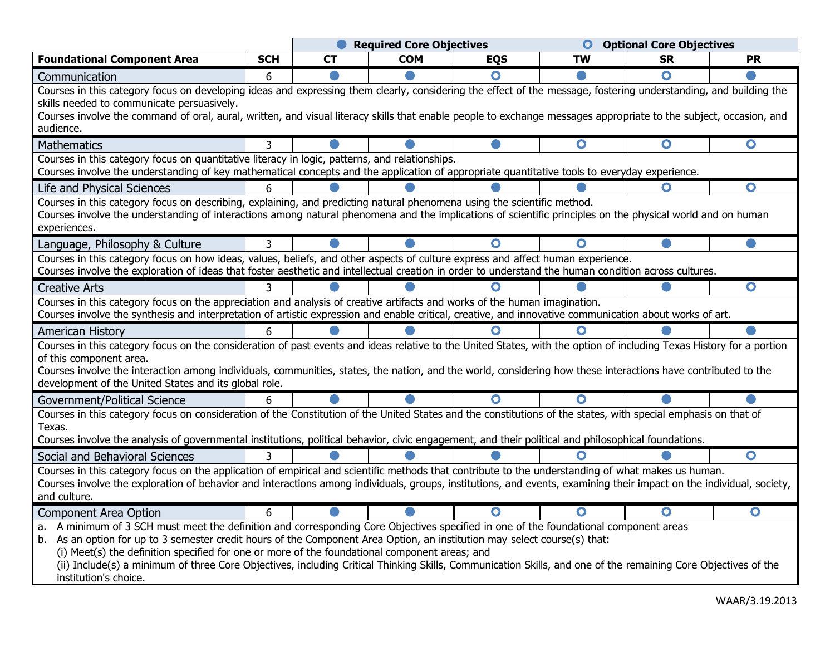|                                                                                                                                                                                                                                                                |            | <b>Required Core Objectives</b> |            |            | <b>Optional Core Objectives</b> |                         |                   |
|----------------------------------------------------------------------------------------------------------------------------------------------------------------------------------------------------------------------------------------------------------------|------------|---------------------------------|------------|------------|---------------------------------|-------------------------|-------------------|
| <b>Foundational Component Area</b>                                                                                                                                                                                                                             | <b>SCH</b> | <b>CT</b>                       | <b>COM</b> | <b>EQS</b> | TW                              | <b>SR</b>               | PR                |
| Communication                                                                                                                                                                                                                                                  | 6          |                                 |            | $\bullet$  |                                 | O                       |                   |
| Courses in this category focus on developing ideas and expressing them clearly, considering the effect of the message, fostering understanding, and building the                                                                                               |            |                                 |            |            |                                 |                         |                   |
| skills needed to communicate persuasively.<br>Courses involve the command of oral, aural, written, and visual literacy skills that enable people to exchange messages appropriate to the subject, occasion, and                                                |            |                                 |            |            |                                 |                         |                   |
|                                                                                                                                                                                                                                                                |            |                                 |            |            |                                 |                         |                   |
| audience.                                                                                                                                                                                                                                                      |            |                                 |            |            |                                 |                         |                   |
| <b>Mathematics</b>                                                                                                                                                                                                                                             | 3          |                                 |            |            | $\overline{\mathbf{o}}$         | $\overline{\mathbf{o}}$ | $\bullet$         |
| Courses in this category focus on quantitative literacy in logic, patterns, and relationships.<br>Courses involve the understanding of key mathematical concepts and the application of appropriate quantitative tools to everyday experience.                 |            |                                 |            |            |                                 |                         |                   |
| Life and Physical Sciences                                                                                                                                                                                                                                     | 6          |                                 |            |            |                                 | O                       | $\bullet$         |
| Courses in this category focus on describing, explaining, and predicting natural phenomena using the scientific method.                                                                                                                                        |            |                                 |            |            |                                 |                         |                   |
| Courses involve the understanding of interactions among natural phenomena and the implications of scientific principles on the physical world and on human                                                                                                     |            |                                 |            |            |                                 |                         |                   |
| experiences.                                                                                                                                                                                                                                                   |            |                                 |            |            |                                 |                         |                   |
| Language, Philosophy & Culture                                                                                                                                                                                                                                 | 3          |                                 |            | ∩          | O                               |                         |                   |
| Courses in this category focus on how ideas, values, beliefs, and other aspects of culture express and affect human experience.                                                                                                                                |            |                                 |            |            |                                 |                         |                   |
| Courses involve the exploration of ideas that foster aesthetic and intellectual creation in order to understand the human condition across cultures.                                                                                                           |            |                                 |            |            |                                 |                         |                   |
| <b>Creative Arts</b>                                                                                                                                                                                                                                           |            |                                 |            | $\bullet$  |                                 |                         | $\bullet$         |
| Courses in this category focus on the appreciation and analysis of creative artifacts and works of the human imagination.                                                                                                                                      |            |                                 |            |            |                                 |                         |                   |
| Courses involve the synthesis and interpretation of artistic expression and enable critical, creative, and innovative communication about works of art.                                                                                                        |            |                                 |            |            |                                 |                         |                   |
| <b>American History</b>                                                                                                                                                                                                                                        | 6          |                                 |            | O          | Ω                               |                         |                   |
| Courses in this category focus on the consideration of past events and ideas relative to the United States, with the option of including Texas History for a portion                                                                                           |            |                                 |            |            |                                 |                         |                   |
| of this component area.<br>Courses involve the interaction among individuals, communities, states, the nation, and the world, considering how these interactions have contributed to the                                                                       |            |                                 |            |            |                                 |                         |                   |
| development of the United States and its global role.                                                                                                                                                                                                          |            |                                 |            |            |                                 |                         |                   |
| Government/Political Science                                                                                                                                                                                                                                   | 6          |                                 |            | O          | O                               |                         |                   |
| Courses in this category focus on consideration of the Constitution of the United States and the constitutions of the states, with special emphasis on that of                                                                                                 |            |                                 |            |            |                                 |                         |                   |
| Texas.                                                                                                                                                                                                                                                         |            |                                 |            |            |                                 |                         |                   |
| Courses involve the analysis of governmental institutions, political behavior, civic engagement, and their political and philosophical foundations.                                                                                                            |            |                                 |            |            |                                 |                         |                   |
| Social and Behavioral Sciences                                                                                                                                                                                                                                 |            |                                 |            |            | ∩                               |                         | $\bullet$         |
| Courses in this category focus on the application of empirical and scientific methods that contribute to the understanding of what makes us human.                                                                                                             |            |                                 |            |            |                                 |                         |                   |
| Courses involve the exploration of behavior and interactions among individuals, groups, institutions, and events, examining their impact on the individual, society,                                                                                           |            |                                 |            |            |                                 |                         |                   |
| and culture.                                                                                                                                                                                                                                                   |            |                                 |            |            |                                 |                         |                   |
| <b>Component Area Option</b>                                                                                                                                                                                                                                   | 6          |                                 |            | O          | O                               | $\bullet$               | $\mathbf{\Omega}$ |
| a. A minimum of 3 SCH must meet the definition and corresponding Core Objectives specified in one of the foundational component areas                                                                                                                          |            |                                 |            |            |                                 |                         |                   |
| b. As an option for up to 3 semester credit hours of the Component Area Option, an institution may select course(s) that:                                                                                                                                      |            |                                 |            |            |                                 |                         |                   |
| (i) Meet(s) the definition specified for one or more of the foundational component areas; and<br>(ii) Include(s) a minimum of three Core Objectives, including Critical Thinking Skills, Communication Skills, and one of the remaining Core Objectives of the |            |                                 |            |            |                                 |                         |                   |
|                                                                                                                                                                                                                                                                |            |                                 |            |            |                                 |                         |                   |